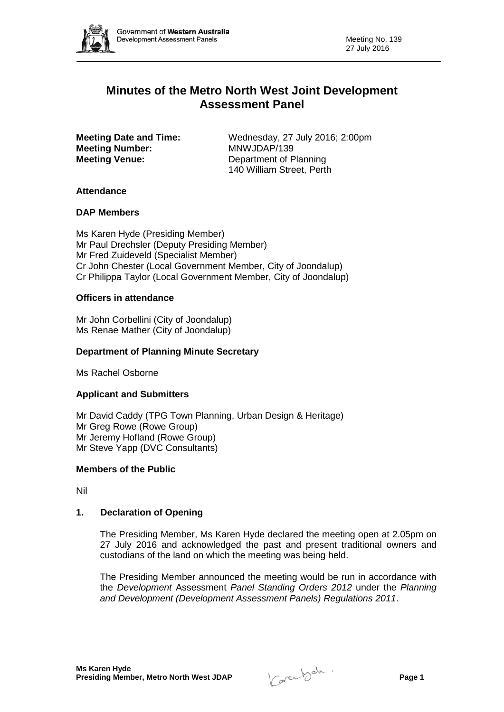

# **Minutes of the Metro North West Joint Development Assessment Panel**

**Meeting Number: Meeting Venue:** Department of Planning

**Meeting Date and Time:** Wednesday, 27 July 2016; 2:00pm<br> **MAWJDAP/139** 140 William Street, Perth

# **Attendance**

## **DAP Members**

Ms Karen Hyde (Presiding Member) Mr Paul Drechsler (Deputy Presiding Member) Mr Fred Zuideveld (Specialist Member) Cr John Chester (Local Government Member, City of Joondalup) Cr Philippa Taylor (Local Government Member, City of Joondalup)

## **Officers in attendance**

Mr John Corbellini (City of Joondalup) Ms Renae Mather (City of Joondalup)

# **Department of Planning Minute Secretary**

Ms Rachel Osborne

## **Applicant and Submitters**

Mr David Caddy (TPG Town Planning, Urban Design & Heritage) Mr Greg Rowe (Rowe Group) Mr Jeremy Hofland (Rowe Group) Mr Steve Yapp (DVC Consultants)

## **Members of the Public**

Nil

# **1. Declaration of Opening**

The Presiding Member, Ms Karen Hyde declared the meeting open at 2.05pm on 27 July 2016 and acknowledged the past and present traditional owners and custodians of the land on which the meeting was being held.

The Presiding Member announced the meeting would be run in accordance with the *Development* Assessment *Panel Standing Orders 2012* under the *Planning and Development (Development Assessment Panels) Regulations 2011*.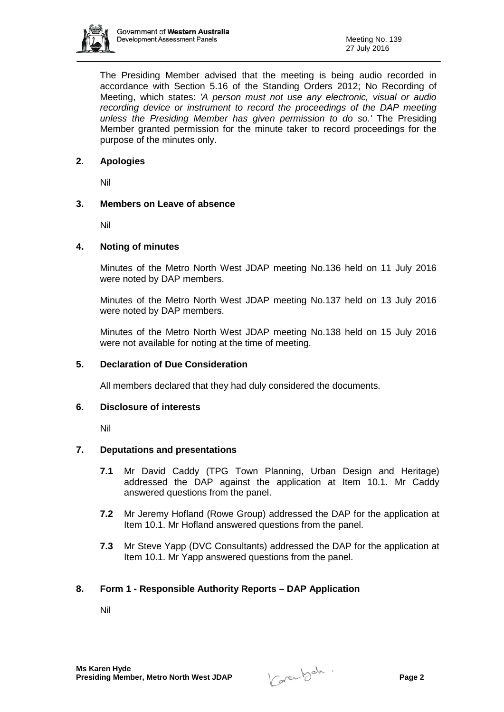

The Presiding Member advised that the meeting is being audio recorded in accordance with Section 5.16 of the Standing Orders 2012; No Recording of Meeting, which states: *'A person must not use any electronic, visual or audio recording device or instrument to record the proceedings of the DAP meeting unless the Presiding Member has given permission to do so.'* The Presiding Member granted permission for the minute taker to record proceedings for the purpose of the minutes only.

## **2. Apologies**

Nil

## **3. Members on Leave of absence**

Nil

## **4. Noting of minutes**

Minutes of the Metro North West JDAP meeting No.136 held on 11 July 2016 were noted by DAP members.

Minutes of the Metro North West JDAP meeting No.137 held on 13 July 2016 were noted by DAP members.

Minutes of the Metro North West JDAP meeting No.138 held on 15 July 2016 were not available for noting at the time of meeting.

## **5. Declaration of Due Consideration**

All members declared that they had duly considered the documents.

## **6. Disclosure of interests**

Nil

## **7. Deputations and presentations**

- **7.1** Mr David Caddy (TPG Town Planning, Urban Design and Heritage) addressed the DAP against the application at Item 10.1. Mr Caddy answered questions from the panel.
- **7.2** Mr Jeremy Hofland (Rowe Group) addressed the DAP for the application at Item 10.1. Mr Hofland answered questions from the panel.
- **7.3** Mr Steve Yapp (DVC Consultants) addressed the DAP for the application at Item 10.1. Mr Yapp answered questions from the panel.

# **8. Form 1 - Responsible Authority Reports – DAP Application**

Nil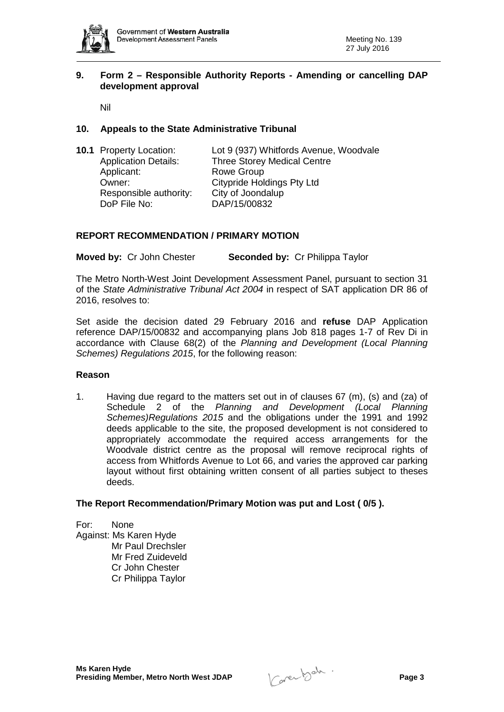

## **9. Form 2 – Responsible Authority Reports - Amending or cancelling DAP development approval**

Nil

## **10. Appeals to the State Administrative Tribunal**

|  | <b>10.1 Property Location:</b> | Lot 9 (937) Whitfords Avenue, Woodvale |
|--|--------------------------------|----------------------------------------|
|  | <b>Application Details:</b>    | <b>Three Storey Medical Centre</b>     |
|  | Applicant:                     | Rowe Group                             |
|  | Owner:                         | <b>Citypride Holdings Pty Ltd</b>      |
|  | Responsible authority:         | City of Joondalup                      |
|  | DoP File No:                   | DAP/15/00832                           |

## **REPORT RECOMMENDATION / PRIMARY MOTION**

**Moved by:** Cr John Chester **Seconded by:** Cr Philippa Taylor

The Metro North-West Joint Development Assessment Panel, pursuant to section 31 of the *State Administrative Tribunal Act 2004* in respect of SAT application DR 86 of 2016, resolves to:

Set aside the decision dated 29 February 2016 and **refuse** DAP Application reference DAP/15/00832 and accompanying plans Job 818 pages 1-7 of Rev Di in accordance with Clause 68(2) of the *Planning and Development (Local Planning Schemes) Regulations 2015*, for the following reason:

#### **Reason**

1. Having due regard to the matters set out in of clauses 67 (m), (s) and (za) of Schedule 2 of the *Planning and Development (Local Planning Schemes)Regulations 2015* and the obligations under the 1991 and 1992 deeds applicable to the site, the proposed development is not considered to appropriately accommodate the required access arrangements for the Woodvale district centre as the proposal will remove reciprocal rights of access from Whitfords Avenue to Lot 66, and varies the approved car parking layout without first obtaining written consent of all parties subject to theses deeds.

#### **The Report Recommendation/Primary Motion was put and Lost ( 0/5 ).**

For: None Against: Ms Karen Hyde Mr Paul Drechsler Mr Fred Zuideveld Cr John Chester Cr Philippa Taylor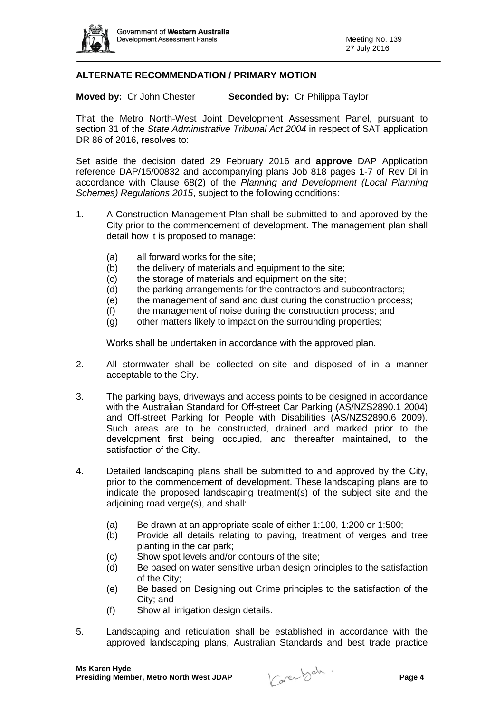

# **ALTERNATE RECOMMENDATION / PRIMARY MOTION**

**Moved by:** Cr John Chester **Seconded by:** Cr Philippa Taylor

That the Metro North-West Joint Development Assessment Panel, pursuant to section 31 of the *State Administrative Tribunal Act 2004* in respect of SAT application DR 86 of 2016, resolves to:

Set aside the decision dated 29 February 2016 and **approve** DAP Application reference DAP/15/00832 and accompanying plans Job 818 pages 1-7 of Rev Di in accordance with Clause 68(2) of the *Planning and Development (Local Planning Schemes) Regulations 2015*, subject to the following conditions:

- 1. A Construction Management Plan shall be submitted to and approved by the City prior to the commencement of development. The management plan shall detail how it is proposed to manage:
	- (a) all forward works for the site;
	- (b) the delivery of materials and equipment to the site;
	- (c) the storage of materials and equipment on the site;
	- (d) the parking arrangements for the contractors and subcontractors;
	- (e) the management of sand and dust during the construction process;
	- (f) the management of noise during the construction process; and
	- (g) other matters likely to impact on the surrounding properties;

Works shall be undertaken in accordance with the approved plan.

- 2. All stormwater shall be collected on-site and disposed of in a manner acceptable to the City.
- 3. The parking bays, driveways and access points to be designed in accordance with the Australian Standard for Off-street Car Parking (AS/NZS2890.1 2004) and Off-street Parking for People with Disabilities (AS/NZS2890.6 2009). Such areas are to be constructed, drained and marked prior to the development first being occupied, and thereafter maintained, to the satisfaction of the City.
- 4. Detailed landscaping plans shall be submitted to and approved by the City, prior to the commencement of development. These landscaping plans are to indicate the proposed landscaping treatment(s) of the subject site and the adjoining road verge(s), and shall:
	- (a) Be drawn at an appropriate scale of either 1:100, 1:200 or 1:500;
	- (b) Provide all details relating to paving, treatment of verges and tree planting in the car park;
	- (c) Show spot levels and/or contours of the site;
	- (d) Be based on water sensitive urban design principles to the satisfaction of the City;
	- (e) Be based on Designing out Crime principles to the satisfaction of the City; and
	- (f) Show all irrigation design details.
- 5. Landscaping and reticulation shall be established in accordance with the approved landscaping plans, Australian Standards and best trade practice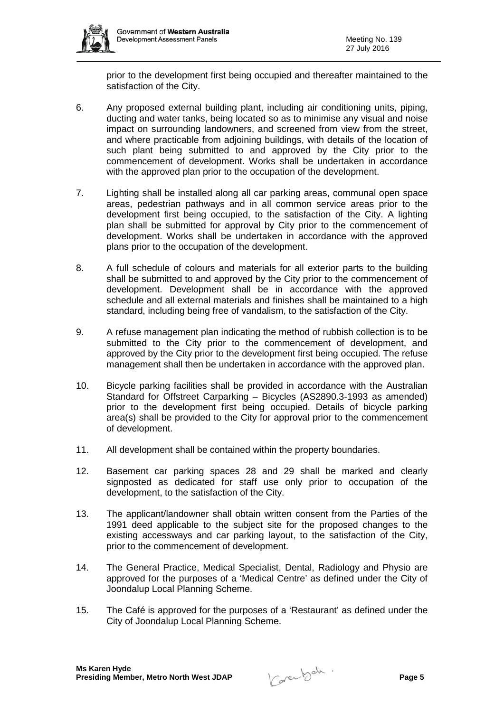

prior to the development first being occupied and thereafter maintained to the satisfaction of the City.

- 6. Any proposed external building plant, including air conditioning units, piping, ducting and water tanks, being located so as to minimise any visual and noise impact on surrounding landowners, and screened from view from the street, and where practicable from adjoining buildings, with details of the location of such plant being submitted to and approved by the City prior to the commencement of development. Works shall be undertaken in accordance with the approved plan prior to the occupation of the development.
- 7. Lighting shall be installed along all car parking areas, communal open space areas, pedestrian pathways and in all common service areas prior to the development first being occupied, to the satisfaction of the City. A lighting plan shall be submitted for approval by City prior to the commencement of development. Works shall be undertaken in accordance with the approved plans prior to the occupation of the development.
- 8. A full schedule of colours and materials for all exterior parts to the building shall be submitted to and approved by the City prior to the commencement of development. Development shall be in accordance with the approved schedule and all external materials and finishes shall be maintained to a high standard, including being free of vandalism, to the satisfaction of the City.
- 9. A refuse management plan indicating the method of rubbish collection is to be submitted to the City prior to the commencement of development, and approved by the City prior to the development first being occupied. The refuse management shall then be undertaken in accordance with the approved plan.
- 10. Bicycle parking facilities shall be provided in accordance with the Australian Standard for Offstreet Carparking – Bicycles (AS2890.3-1993 as amended) prior to the development first being occupied. Details of bicycle parking area(s) shall be provided to the City for approval prior to the commencement of development.
- 11. All development shall be contained within the property boundaries.
- 12. Basement car parking spaces 28 and 29 shall be marked and clearly signposted as dedicated for staff use only prior to occupation of the development, to the satisfaction of the City.
- 13. The applicant/landowner shall obtain written consent from the Parties of the 1991 deed applicable to the subject site for the proposed changes to the existing accessways and car parking layout, to the satisfaction of the City, prior to the commencement of development.
- 14. The General Practice, Medical Specialist, Dental, Radiology and Physio are approved for the purposes of a 'Medical Centre' as defined under the City of Joondalup Local Planning Scheme.
- 15. The Café is approved for the purposes of a 'Restaurant' as defined under the City of Joondalup Local Planning Scheme.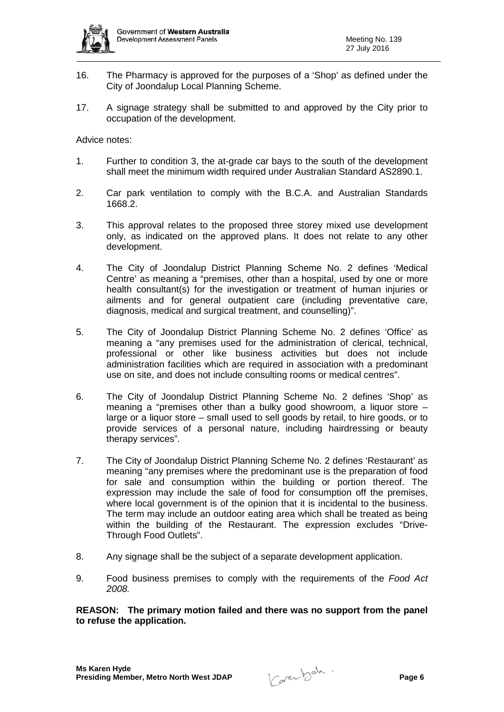

- 16. The Pharmacy is approved for the purposes of a 'Shop' as defined under the City of Joondalup Local Planning Scheme.
- 17. A signage strategy shall be submitted to and approved by the City prior to occupation of the development.

Advice notes:

- 1. Further to condition 3, the at-grade car bays to the south of the development shall meet the minimum width required under Australian Standard AS2890.1.
- 2. Car park ventilation to comply with the B.C.A. and Australian Standards 1668.2.
- 3. This approval relates to the proposed three storey mixed use development only, as indicated on the approved plans. It does not relate to any other development.
- 4. The City of Joondalup District Planning Scheme No. 2 defines 'Medical Centre' as meaning a "premises, other than a hospital, used by one or more health consultant(s) for the investigation or treatment of human injuries or ailments and for general outpatient care (including preventative care, diagnosis, medical and surgical treatment, and counselling)".
- 5. The City of Joondalup District Planning Scheme No. 2 defines 'Office' as meaning a "any premises used for the administration of clerical, technical, professional or other like business activities but does not include administration facilities which are required in association with a predominant use on site, and does not include consulting rooms or medical centres".
- 6. The City of Joondalup District Planning Scheme No. 2 defines 'Shop' as meaning a "premises other than a bulky good showroom, a liquor store – large or a liquor store – small used to sell goods by retail, to hire goods, or to provide services of a personal nature, including hairdressing or beauty therapy services".
- 7. The City of Joondalup District Planning Scheme No. 2 defines 'Restaurant' as meaning "any premises where the predominant use is the preparation of food for sale and consumption within the building or portion thereof. The expression may include the sale of food for consumption off the premises, where local government is of the opinion that it is incidental to the business. The term may include an outdoor eating area which shall be treated as being within the building of the Restaurant. The expression excludes "Drive-Through Food Outlets".
- 8. Any signage shall be the subject of a separate development application.
- 9. Food business premises to comply with the requirements of the *Food Act 2008.*

**REASON: The primary motion failed and there was no support from the panel to refuse the application.**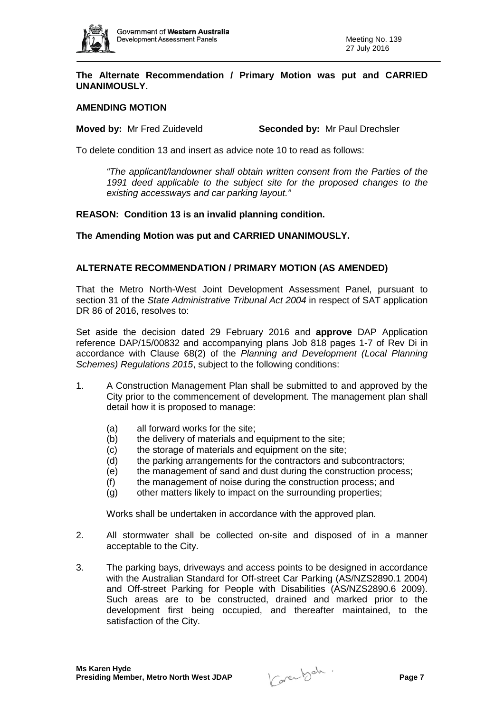

#### **The Alternate Recommendation / Primary Motion was put and CARRIED UNANIMOUSLY.**

#### **AMENDING MOTION**

**Moved by:** Mr Fred Zuideveld **Seconded by:** Mr Paul Drechsler

To delete condition 13 and insert as advice note 10 to read as follows:

*"The applicant/landowner shall obtain written consent from the Parties of the 1991 deed applicable to the subject site for the proposed changes to the existing accessways and car parking layout."*

#### **REASON: Condition 13 is an invalid planning condition.**

#### **The Amending Motion was put and CARRIED UNANIMOUSLY.**

#### **ALTERNATE RECOMMENDATION / PRIMARY MOTION (AS AMENDED)**

That the Metro North-West Joint Development Assessment Panel, pursuant to section 31 of the *State Administrative Tribunal Act 2004* in respect of SAT application DR 86 of 2016, resolves to:

Set aside the decision dated 29 February 2016 and **approve** DAP Application reference DAP/15/00832 and accompanying plans Job 818 pages 1-7 of Rev Di in accordance with Clause 68(2) of the *Planning and Development (Local Planning Schemes) Regulations 2015*, subject to the following conditions:

- 1. A Construction Management Plan shall be submitted to and approved by the City prior to the commencement of development. The management plan shall detail how it is proposed to manage:
	- (a) all forward works for the site;
	- (b) the delivery of materials and equipment to the site;
	- (c) the storage of materials and equipment on the site;
	- (d) the parking arrangements for the contractors and subcontractors;
	- (e) the management of sand and dust during the construction process;
	- (f) the management of noise during the construction process; and
	- (g) other matters likely to impact on the surrounding properties;

Works shall be undertaken in accordance with the approved plan.

- 2. All stormwater shall be collected on-site and disposed of in a manner acceptable to the City.
- 3. The parking bays, driveways and access points to be designed in accordance with the Australian Standard for Off-street Car Parking (AS/NZS2890.1 2004) and Off-street Parking for People with Disabilities (AS/NZS2890.6 2009). Such areas are to be constructed, drained and marked prior to the development first being occupied, and thereafter maintained, to the satisfaction of the City.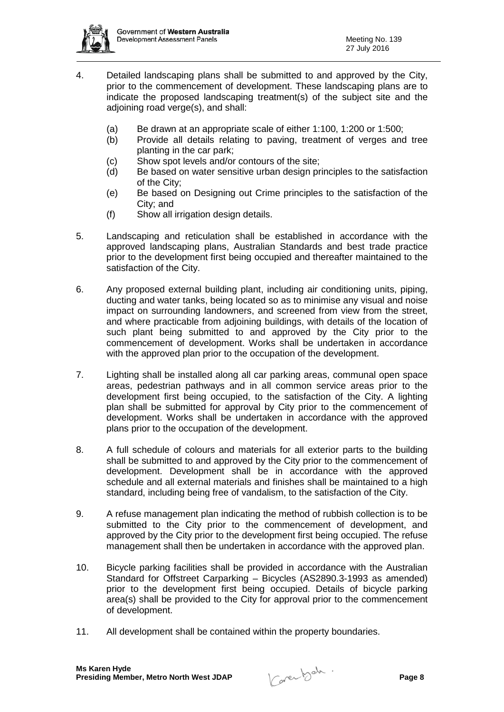

- 4. Detailed landscaping plans shall be submitted to and approved by the City, prior to the commencement of development. These landscaping plans are to indicate the proposed landscaping treatment(s) of the subject site and the adjoining road verge(s), and shall:
	- (a) Be drawn at an appropriate scale of either 1:100, 1:200 or 1:500;
	- (b) Provide all details relating to paving, treatment of verges and tree planting in the car park;
	- (c) Show spot levels and/or contours of the site;
	- (d) Be based on water sensitive urban design principles to the satisfaction of the City;
	- (e) Be based on Designing out Crime principles to the satisfaction of the City; and
	- (f) Show all irrigation design details.
- 5. Landscaping and reticulation shall be established in accordance with the approved landscaping plans, Australian Standards and best trade practice prior to the development first being occupied and thereafter maintained to the satisfaction of the City.
- 6. Any proposed external building plant, including air conditioning units, piping, ducting and water tanks, being located so as to minimise any visual and noise impact on surrounding landowners, and screened from view from the street, and where practicable from adjoining buildings, with details of the location of such plant being submitted to and approved by the City prior to the commencement of development. Works shall be undertaken in accordance with the approved plan prior to the occupation of the development.
- 7. Lighting shall be installed along all car parking areas, communal open space areas, pedestrian pathways and in all common service areas prior to the development first being occupied, to the satisfaction of the City. A lighting plan shall be submitted for approval by City prior to the commencement of development. Works shall be undertaken in accordance with the approved plans prior to the occupation of the development.
- 8. A full schedule of colours and materials for all exterior parts to the building shall be submitted to and approved by the City prior to the commencement of development. Development shall be in accordance with the approved schedule and all external materials and finishes shall be maintained to a high standard, including being free of vandalism, to the satisfaction of the City.
- 9. A refuse management plan indicating the method of rubbish collection is to be submitted to the City prior to the commencement of development, and approved by the City prior to the development first being occupied. The refuse management shall then be undertaken in accordance with the approved plan.
- 10. Bicycle parking facilities shall be provided in accordance with the Australian Standard for Offstreet Carparking – Bicycles (AS2890.3-1993 as amended) prior to the development first being occupied. Details of bicycle parking area(s) shall be provided to the City for approval prior to the commencement of development.
- 11. All development shall be contained within the property boundaries.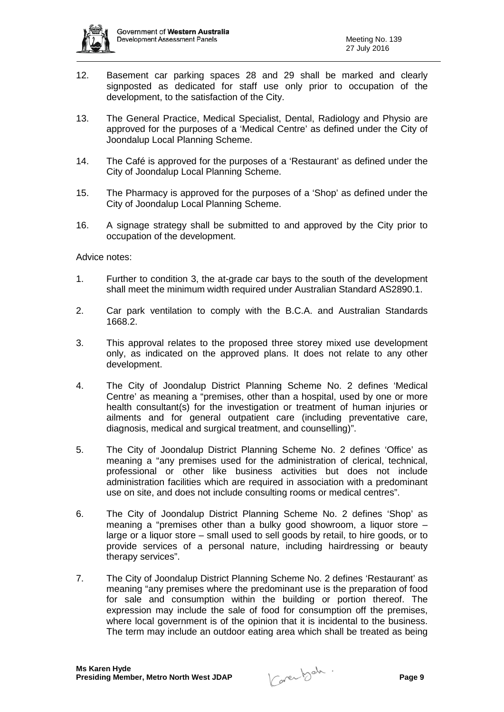

- 12. Basement car parking spaces 28 and 29 shall be marked and clearly signposted as dedicated for staff use only prior to occupation of the development, to the satisfaction of the City.
- 13. The General Practice, Medical Specialist, Dental, Radiology and Physio are approved for the purposes of a 'Medical Centre' as defined under the City of Joondalup Local Planning Scheme.
- 14. The Café is approved for the purposes of a 'Restaurant' as defined under the City of Joondalup Local Planning Scheme.
- 15. The Pharmacy is approved for the purposes of a 'Shop' as defined under the City of Joondalup Local Planning Scheme.
- 16. A signage strategy shall be submitted to and approved by the City prior to occupation of the development.

Advice notes:

- 1. Further to condition 3, the at-grade car bays to the south of the development shall meet the minimum width required under Australian Standard AS2890.1.
- 2. Car park ventilation to comply with the B.C.A. and Australian Standards 1668.2.
- 3. This approval relates to the proposed three storey mixed use development only, as indicated on the approved plans. It does not relate to any other development.
- 4. The City of Joondalup District Planning Scheme No. 2 defines 'Medical Centre' as meaning a "premises, other than a hospital, used by one or more health consultant(s) for the investigation or treatment of human injuries or ailments and for general outpatient care (including preventative care, diagnosis, medical and surgical treatment, and counselling)".
- 5. The City of Joondalup District Planning Scheme No. 2 defines 'Office' as meaning a "any premises used for the administration of clerical, technical, professional or other like business activities but does not include administration facilities which are required in association with a predominant use on site, and does not include consulting rooms or medical centres".
- 6. The City of Joondalup District Planning Scheme No. 2 defines 'Shop' as meaning a "premises other than a bulky good showroom, a liquor store – large or a liquor store – small used to sell goods by retail, to hire goods, or to provide services of a personal nature, including hairdressing or beauty therapy services".
- 7. The City of Joondalup District Planning Scheme No. 2 defines 'Restaurant' as meaning "any premises where the predominant use is the preparation of food for sale and consumption within the building or portion thereof. The expression may include the sale of food for consumption off the premises, where local government is of the opinion that it is incidental to the business. The term may include an outdoor eating area which shall be treated as being